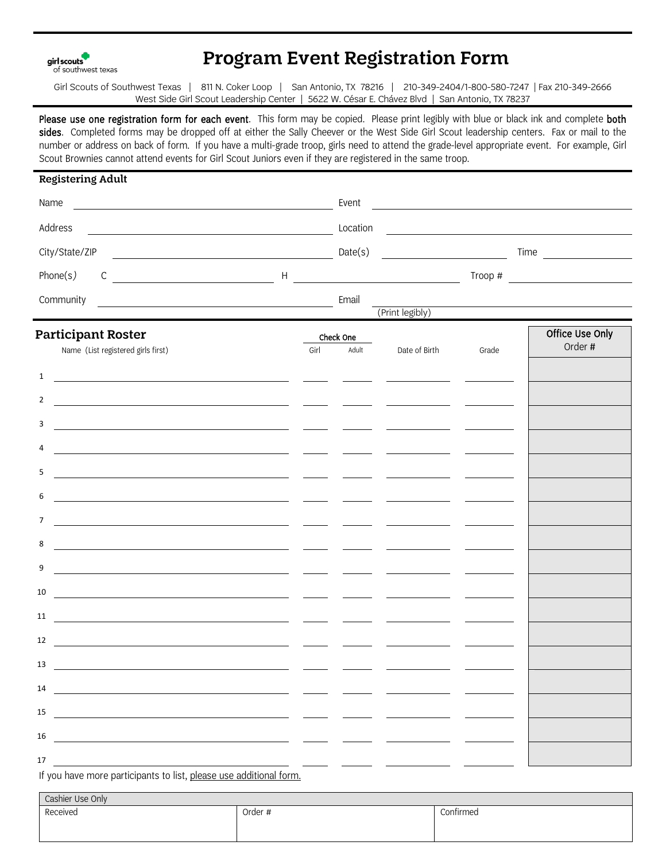girl scouts of southwest texas

## Program Event Registration Form

Girl Scouts of Southwest Texas | 811 N. Coker Loop | San Antonio, TX 78216 | 210-349-2404/1-800-580-7247 | Fax 210-349-2666 West Side Girl Scout Leadership Center | 5622 W. César E. Chávez Blvd | San Antonio, TX 78237

Please use one registration form for each event. This form may be copied. Please print legibly with blue or black ink and complete both sides. Completed forms may be dropped off at either the Sally Cheever or the West Side Girl Scout leadership centers. Fax or mail to the number or address on back of form. If you have a multi-grade troop, girls need to attend the grade-level appropriate event. For example, Girl Scout Brownies cannot attend events for Girl Scout Juniors even if they are registered in the same troop.

| <b>Registering Adult</b>                                                                                                                                                                                                                                                                                                 |                                                                                                                        |      |           |                                                                                                                                                                                                                                      |                                           |                 |  |
|--------------------------------------------------------------------------------------------------------------------------------------------------------------------------------------------------------------------------------------------------------------------------------------------------------------------------|------------------------------------------------------------------------------------------------------------------------|------|-----------|--------------------------------------------------------------------------------------------------------------------------------------------------------------------------------------------------------------------------------------|-------------------------------------------|-----------------|--|
| Name<br><b>No. 2. Event</b> Event                                                                                                                                                                                                                                                                                        |                                                                                                                        |      |           | <u> 1989 - Andrea Station Books, amerikansk politik (</u>                                                                                                                                                                            |                                           |                 |  |
| Address<br>Location                                                                                                                                                                                                                                                                                                      | <u> 1989 - Johann Stoff, deutscher Stoffen und der Stoffen und der Stoffen und der Stoffen und der Stoffen und der</u> |      |           |                                                                                                                                                                                                                                      |                                           |                 |  |
| City/State/ZIP                                                                                                                                                                                                                                                                                                           |                                                                                                                        |      | Date(s)   | <u> 1990 - Johann Barbara, martin a</u>                                                                                                                                                                                              | $Time \qquad \qquad \qquad \qquad \qquad$ |                 |  |
| Phone(s)                                                                                                                                                                                                                                                                                                                 |                                                                                                                        |      |           |                                                                                                                                                                                                                                      |                                           |                 |  |
| Community                                                                                                                                                                                                                                                                                                                |                                                                                                                        |      | Email     |                                                                                                                                                                                                                                      |                                           |                 |  |
|                                                                                                                                                                                                                                                                                                                          |                                                                                                                        |      |           | (Print legibly)                                                                                                                                                                                                                      |                                           |                 |  |
| <b>Participant Roster</b>                                                                                                                                                                                                                                                                                                |                                                                                                                        |      | Check One |                                                                                                                                                                                                                                      |                                           | Office Use Only |  |
| Name (List registered girls first)                                                                                                                                                                                                                                                                                       |                                                                                                                        | Girl | Adult     | Date of Birth                                                                                                                                                                                                                        | Grade                                     | Order #         |  |
| $\mathbf{1}$<br><u> 1989 - Johann Stoff, deutscher Stoffen und der Stoffen und der Stoffen und der Stoffen und der Stoffen und der</u>                                                                                                                                                                                   |                                                                                                                        |      |           |                                                                                                                                                                                                                                      |                                           |                 |  |
| $\overline{2}$<br><u> 1989 - Johann Stoff, amerikansk politiker (* 1908)</u>                                                                                                                                                                                                                                             |                                                                                                                        |      |           |                                                                                                                                                                                                                                      |                                           |                 |  |
| 3                                                                                                                                                                                                                                                                                                                        |                                                                                                                        |      |           |                                                                                                                                                                                                                                      |                                           |                 |  |
| 4                                                                                                                                                                                                                                                                                                                        |                                                                                                                        |      |           |                                                                                                                                                                                                                                      |                                           |                 |  |
| 5                                                                                                                                                                                                                                                                                                                        |                                                                                                                        |      |           | <u> Alexandria de la contextual de la contextual de la contextual de la contextual de la contextual de la contextual de la contextual de la contextual de la contextual de la contextual de la contextual de la contextual de la</u> |                                           |                 |  |
| 6                                                                                                                                                                                                                                                                                                                        |                                                                                                                        |      |           |                                                                                                                                                                                                                                      |                                           |                 |  |
|                                                                                                                                                                                                                                                                                                                          |                                                                                                                        |      |           |                                                                                                                                                                                                                                      |                                           |                 |  |
| $\overline{7}$<br><u> 1988 - Jan Salaman, mangang mga kalendar ang pangalang mga kalendar ang pangalang mga kalendar ang pangalang </u>                                                                                                                                                                                  |                                                                                                                        |      |           |                                                                                                                                                                                                                                      |                                           |                 |  |
| 8<br><u> 1980 - Andrea Andrew Maria (b. 1980)</u>                                                                                                                                                                                                                                                                        |                                                                                                                        |      |           |                                                                                                                                                                                                                                      |                                           |                 |  |
| 9                                                                                                                                                                                                                                                                                                                        |                                                                                                                        |      |           |                                                                                                                                                                                                                                      |                                           |                 |  |
| 10                                                                                                                                                                                                                                                                                                                       |                                                                                                                        |      |           |                                                                                                                                                                                                                                      |                                           |                 |  |
| 11<br><u> 1988 - Jan Salaman, mangang pang mang pang mang pang mang pang mang pang mang pang mang pang mang pang mang ma</u>                                                                                                                                                                                             |                                                                                                                        |      |           |                                                                                                                                                                                                                                      |                                           |                 |  |
| 12<br><u> 1989 - Jan Samuel Barbara, margaret eta idazlea (h. 1982).</u>                                                                                                                                                                                                                                                 |                                                                                                                        |      |           |                                                                                                                                                                                                                                      |                                           |                 |  |
| 13<br><u> 1980 - John Stein, Amerikaansk politiker († 1908)</u>                                                                                                                                                                                                                                                          |                                                                                                                        |      |           |                                                                                                                                                                                                                                      |                                           |                 |  |
| $14$ and $\overline{12}$ and $\overline{12}$ and $\overline{12}$ and $\overline{12}$ and $\overline{12}$ and $\overline{12}$ and $\overline{12}$ and $\overline{12}$ and $\overline{12}$ and $\overline{12}$ and $\overline{12}$ and $\overline{12}$ and $\overline{12}$ and $\overline{12}$ and $\overline{12}$ and $\$ |                                                                                                                        |      |           |                                                                                                                                                                                                                                      |                                           |                 |  |
|                                                                                                                                                                                                                                                                                                                          |                                                                                                                        |      |           |                                                                                                                                                                                                                                      |                                           |                 |  |
|                                                                                                                                                                                                                                                                                                                          |                                                                                                                        |      |           |                                                                                                                                                                                                                                      |                                           |                 |  |
| 16<br><u> 1980 - Andrea Andrew Maria (h. 1980).</u><br>1900 - Andrew Maria (h. 1900).                                                                                                                                                                                                                                    |                                                                                                                        |      |           |                                                                                                                                                                                                                                      |                                           |                 |  |
| 17                                                                                                                                                                                                                                                                                                                       |                                                                                                                        |      |           |                                                                                                                                                                                                                                      |                                           |                 |  |

If you have more participants to list, please use additional form.

| Cashier Use Only |         |           |  |  |
|------------------|---------|-----------|--|--|
| Received         | Order # | Confirmed |  |  |
|                  |         |           |  |  |
|                  |         |           |  |  |